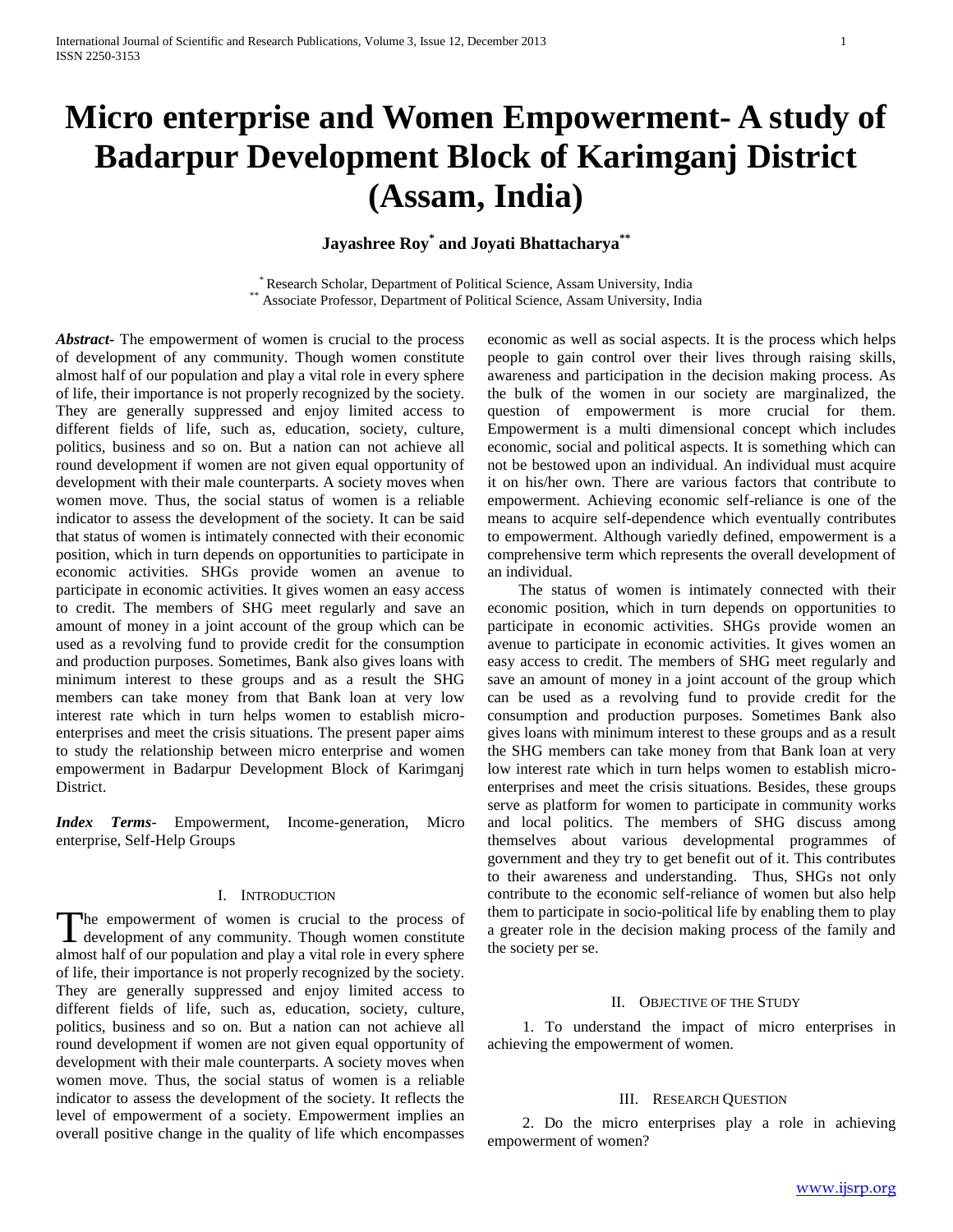# **Micro enterprise and Women Empowerment- A study of Badarpur Development Block of Karimganj District (Assam, India)**

# **Jayashree Roy\* and Joyati Bhattacharya\*\***

\* Research Scholar, Department of Political Science, Assam University, India \*\* Associate Professor, Department of Political Science, Assam University, India

*Abstract***-** The empowerment of women is crucial to the process of development of any community. Though women constitute almost half of our population and play a vital role in every sphere of life, their importance is not properly recognized by the society. They are generally suppressed and enjoy limited access to different fields of life, such as, education, society, culture, politics, business and so on. But a nation can not achieve all round development if women are not given equal opportunity of development with their male counterparts. A society moves when women move. Thus, the social status of women is a reliable indicator to assess the development of the society. It can be said that status of women is intimately connected with their economic position, which in turn depends on opportunities to participate in economic activities. SHGs provide women an avenue to participate in economic activities. It gives women an easy access to credit. The members of SHG meet regularly and save an amount of money in a joint account of the group which can be used as a revolving fund to provide credit for the consumption and production purposes. Sometimes, Bank also gives loans with minimum interest to these groups and as a result the SHG members can take money from that Bank loan at very low interest rate which in turn helps women to establish microenterprises and meet the crisis situations. The present paper aims to study the relationship between micro enterprise and women empowerment in Badarpur Development Block of Karimganj District.

*Index Terms*- Empowerment, Income-generation, Micro enterprise, Self-Help Groups

# I. INTRODUCTION

The empowerment of women is crucial to the process of The empowerment of women is crucial to the process of development of any community. Though women constitute almost half of our population and play a vital role in every sphere of life, their importance is not properly recognized by the society. They are generally suppressed and enjoy limited access to different fields of life, such as, education, society, culture, politics, business and so on. But a nation can not achieve all round development if women are not given equal opportunity of development with their male counterparts. A society moves when women move. Thus, the social status of women is a reliable indicator to assess the development of the society. It reflects the level of empowerment of a society. Empowerment implies an overall positive change in the quality of life which encompasses

economic as well as social aspects. It is the process which helps people to gain control over their lives through raising skills, awareness and participation in the decision making process. As the bulk of the women in our society are marginalized, the question of empowerment is more crucial for them. Empowerment is a multi dimensional concept which includes economic, social and political aspects. It is something which can not be bestowed upon an individual. An individual must acquire it on his/her own. There are various factors that contribute to empowerment. Achieving economic self-reliance is one of the means to acquire self-dependence which eventually contributes to empowerment. Although variedly defined, empowerment is a comprehensive term which represents the overall development of an individual.

 The status of women is intimately connected with their economic position, which in turn depends on opportunities to participate in economic activities. SHGs provide women an avenue to participate in economic activities. It gives women an easy access to credit. The members of SHG meet regularly and save an amount of money in a joint account of the group which can be used as a revolving fund to provide credit for the consumption and production purposes. Sometimes Bank also gives loans with minimum interest to these groups and as a result the SHG members can take money from that Bank loan at very low interest rate which in turn helps women to establish microenterprises and meet the crisis situations. Besides, these groups serve as platform for women to participate in community works and local politics. The members of SHG discuss among themselves about various developmental programmes of government and they try to get benefit out of it. This contributes to their awareness and understanding. Thus, SHGs not only contribute to the economic self-reliance of women but also help them to participate in socio-political life by enabling them to play a greater role in the decision making process of the family and the society per se.

## II. OBJECTIVE OF THE STUDY

1. To understand the impact of micro enterprises in achieving the empowerment of women.

## III. RESEARCH QUESTION

 2. Do the micro enterprises play a role in achieving empowerment of women?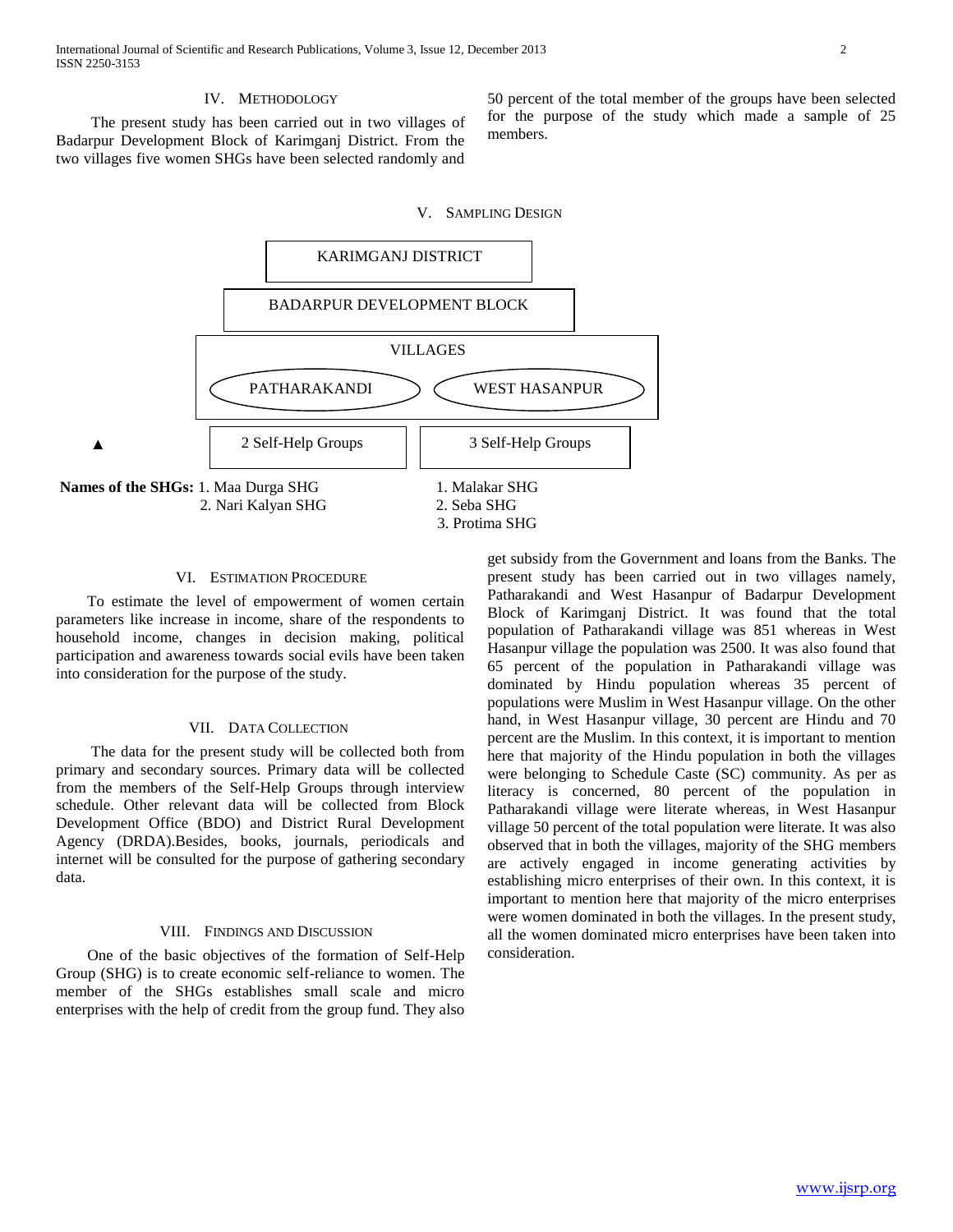#### IV. METHODOLOGY

 The present study has been carried out in two villages of Badarpur Development Block of Karimganj District. From the two villages five women SHGs have been selected randomly and

50 percent of the total member of the groups have been selected for the purpose of the study which made a sample of 25 members.

## V. SAMPLING DESIGN



#### VI. ESTIMATION PROCEDURE

 To estimate the level of empowerment of women certain parameters like increase in income, share of the respondents to household income, changes in decision making, political participation and awareness towards social evils have been taken into consideration for the purpose of the study.

#### VII. DATA COLLECTION

 The data for the present study will be collected both from primary and secondary sources. Primary data will be collected from the members of the Self-Help Groups through interview schedule. Other relevant data will be collected from Block Development Office (BDO) and District Rural Development Agency (DRDA).Besides, books, journals, periodicals and internet will be consulted for the purpose of gathering secondary data.

#### VIII. FINDINGS AND DISCUSSION

 One of the basic objectives of the formation of Self-Help Group (SHG) is to create economic self-reliance to women. The member of the SHGs establishes small scale and micro enterprises with the help of credit from the group fund. They also

get subsidy from the Government and loans from the Banks. The present study has been carried out in two villages namely, Patharakandi and West Hasanpur of Badarpur Development Block of Karimganj District. It was found that the total population of Patharakandi village was 851 whereas in West Hasanpur village the population was 2500. It was also found that 65 percent of the population in Patharakandi village was dominated by Hindu population whereas 35 percent of populations were Muslim in West Hasanpur village. On the other hand, in West Hasanpur village, 30 percent are Hindu and 70 percent are the Muslim. In this context, it is important to mention here that majority of the Hindu population in both the villages were belonging to Schedule Caste (SC) community. As per as literacy is concerned, 80 percent of the population in Patharakandi village were literate whereas, in West Hasanpur village 50 percent of the total population were literate. It was also observed that in both the villages, majority of the SHG members are actively engaged in income generating activities by establishing micro enterprises of their own. In this context, it is important to mention here that majority of the micro enterprises were women dominated in both the villages. In the present study, all the women dominated micro enterprises have been taken into consideration.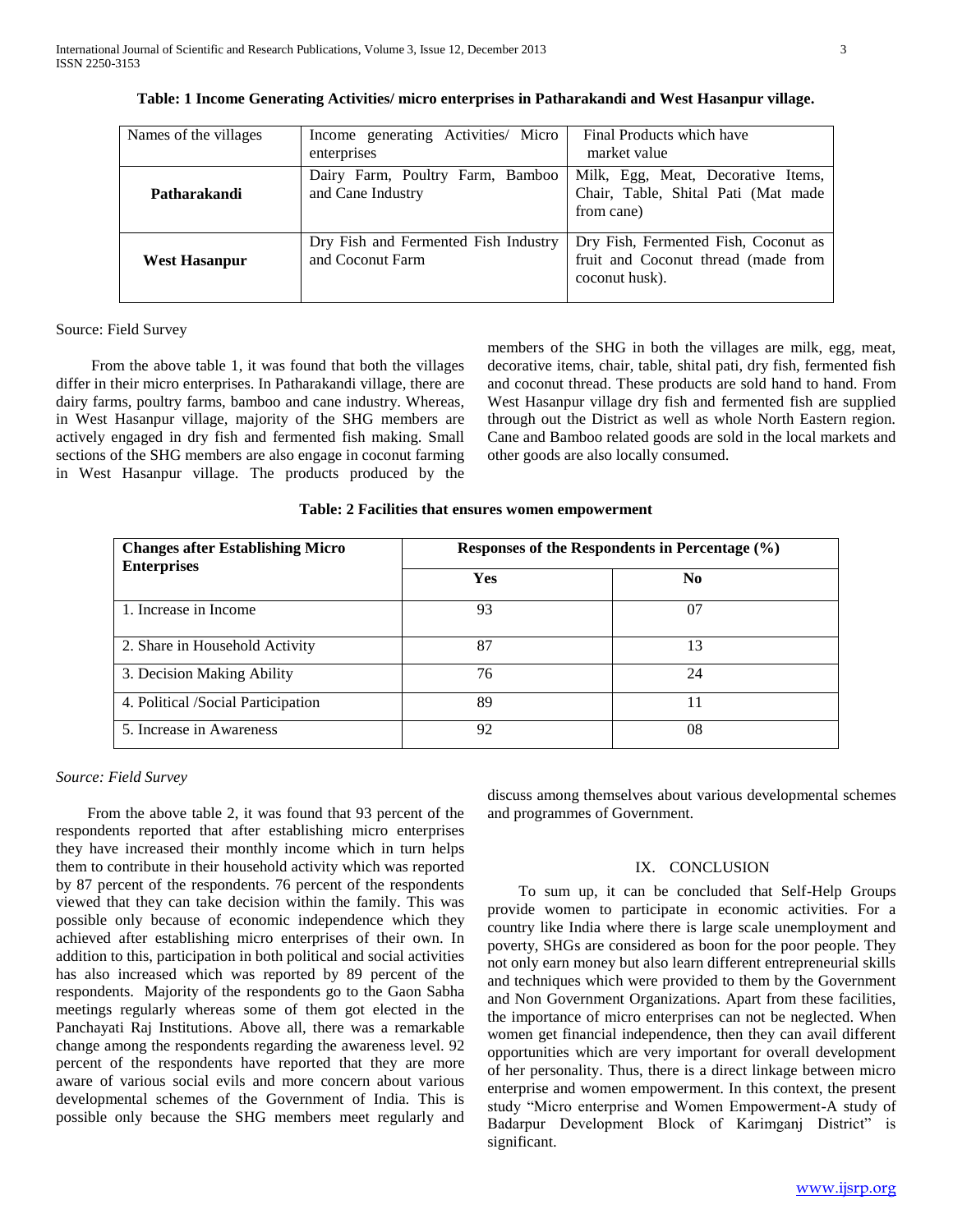| Names of the villages                                                            | Income generating Activities/ Micro<br>enterprises    | Final Products which have<br>market value                                                     |  |
|----------------------------------------------------------------------------------|-------------------------------------------------------|-----------------------------------------------------------------------------------------------|--|
| Patharakandi                                                                     | Dairy Farm, Poultry Farm, Bamboo<br>and Cane Industry | Milk, Egg, Meat, Decorative Items,<br>Chair, Table, Shital Pati (Mat made<br>from cane)       |  |
| Dry Fish and Fermented Fish Industry<br>and Coconut Farm<br><b>West Hasanpur</b> |                                                       | Dry Fish, Fermented Fish, Coconut as<br>fruit and Coconut thread (made from<br>coconut husk). |  |

|  |  | Table: 1 Income Generating Activities/ micro enterprises in Patharakandi and West Hasanpur village. |
|--|--|-----------------------------------------------------------------------------------------------------|
|  |  |                                                                                                     |

# Source: Field Survey

 From the above table 1, it was found that both the villages differ in their micro enterprises. In Patharakandi village, there are dairy farms, poultry farms, bamboo and cane industry. Whereas, in West Hasanpur village, majority of the SHG members are actively engaged in dry fish and fermented fish making. Small sections of the SHG members are also engage in coconut farming in West Hasanpur village. The products produced by the members of the SHG in both the villages are milk, egg, meat, decorative items, chair, table, shital pati, dry fish, fermented fish and coconut thread. These products are sold hand to hand. From West Hasanpur village dry fish and fermented fish are supplied through out the District as well as whole North Eastern region. Cane and Bamboo related goods are sold in the local markets and other goods are also locally consumed.

# **Table: 2 Facilities that ensures women empowerment**

| <b>Changes after Establishing Micro</b> | Responses of the Respondents in Percentage $(\% )$ |     |  |
|-----------------------------------------|----------------------------------------------------|-----|--|
| <b>Enterprises</b>                      | Yes                                                | No. |  |
| 1. Increase in Income                   | 93                                                 | 07  |  |
| 2. Share in Household Activity          | 87                                                 | 13  |  |
| 3. Decision Making Ability              | 76                                                 | 24  |  |
| 4. Political / Social Participation     | 89                                                 | 11  |  |
| 5. Increase in Awareness                | 92                                                 | 08  |  |

*Source: Field Survey*

 From the above table 2, it was found that 93 percent of the respondents reported that after establishing micro enterprises they have increased their monthly income which in turn helps them to contribute in their household activity which was reported by 87 percent of the respondents. 76 percent of the respondents viewed that they can take decision within the family. This was possible only because of economic independence which they achieved after establishing micro enterprises of their own. In addition to this, participation in both political and social activities has also increased which was reported by 89 percent of the respondents. Majority of the respondents go to the Gaon Sabha meetings regularly whereas some of them got elected in the Panchayati Raj Institutions. Above all, there was a remarkable change among the respondents regarding the awareness level. 92 percent of the respondents have reported that they are more aware of various social evils and more concern about various developmental schemes of the Government of India. This is possible only because the SHG members meet regularly and

discuss among themselves about various developmental schemes and programmes of Government.

#### IX. CONCLUSION

 To sum up, it can be concluded that Self-Help Groups provide women to participate in economic activities. For a country like India where there is large scale unemployment and poverty, SHGs are considered as boon for the poor people. They not only earn money but also learn different entrepreneurial skills and techniques which were provided to them by the Government and Non Government Organizations. Apart from these facilities, the importance of micro enterprises can not be neglected. When women get financial independence, then they can avail different opportunities which are very important for overall development of her personality. Thus, there is a direct linkage between micro enterprise and women empowerment. In this context, the present study "Micro enterprise and Women Empowerment-A study of Badarpur Development Block of Karimganj District" is significant.